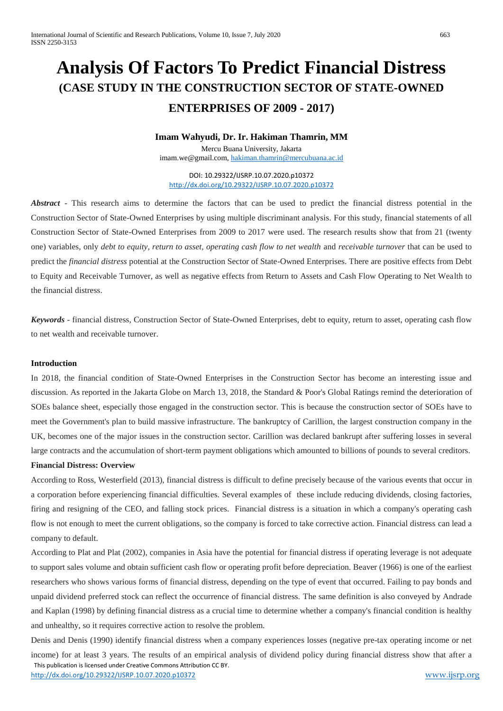# **Analysis Of Factors To Predict Financial Distress (CASE STUDY IN THE CONSTRUCTION SECTOR OF STATE-OWNED ENTERPRISES OF 2009 - 2017)**

# **Imam Wahyudi, Dr. Ir. Hakiman Thamrin, MM**

Mercu Buana University, Jakarta [imam.we@gmail.com,](mailto:imam.we@gmail.com) [hakiman.thamrin@mercubuana.ac.id](mailto:hakiman.thamrin@mercubuana.ac.id)

DOI: 10.29322/IJSRP.10.07.2020.p10372 <http://dx.doi.org/10.29322/IJSRP.10.07.2020.p10372>

*Abstract* - This research aims to determine the factors that can be used to predict the financial distress potential in the Construction Sector of State-Owned Enterprises by using multiple discriminant analysis. For this study, financial statements of all Construction Sector of State-Owned Enterprises from 2009 to 2017 were used. The research results show that from 21 (twenty one) variables, only *debt to equity, return to asset, operating cash flow to net wealth* and *receivable turnover* that can be used to predict the *financial distress* potential at the Construction Sector of State-Owned Enterprises. There are positive effects from Debt to Equity and Receivable Turnover, as well as negative effects from Return to Assets and Cash Flow Operating to Net Wealth to the financial distress.

*Keywords* - financial distress, Construction Sector of State-Owned Enterprises, debt to equity, return to asset, operating cash flow to net wealth and receivable turnover.

#### **Introduction**

In 2018, the financial condition of State-Owned Enterprises in the Construction Sector has become an interesting issue and discussion. As reported in the Jakarta Globe on March 13, 2018, the Standard & Poor's Global Ratings remind the deterioration of SOEs balance sheet, especially those engaged in the construction sector. This is because the construction sector of SOEs have to meet the Government's plan to build massive infrastructure. The bankruptcy of Carillion, the largest construction company in the UK, becomes one of the major issues in the construction sector. Carillion was declared bankrupt after suffering losses in several large contracts and the accumulation of short-term payment obligations which amounted to billions of pounds to several creditors.

#### **Financial Distress: Overview**

According to Ross, Westerfield (2013), financial distress is difficult to define precisely because of the various events that occur in a corporation before experiencing financial difficulties. Several examples of these include reducing dividends, closing factories, firing and resigning of the CEO, and falling stock prices. Financial distress is a situation in which a company's operating cash flow is not enough to meet the current obligations, so the company is forced to take corrective action. Financial distress can lead a company to default.

According to Plat and Plat (2002), companies in Asia have the potential for financial distress if operating leverage is not adequate to support sales volume and obtain sufficient cash flow or operating profit before depreciation. Beaver (1966) is one of the earliest researchers who shows various forms of financial distress, depending on the type of event that occurred. Failing to pay bonds and unpaid dividend preferred stock can reflect the occurrence of financial distress. The same definition is also conveyed by Andrade and Kaplan (1998) by defining financial distress as a crucial time to determine whether a company's financial condition is healthy and unhealthy, so it requires corrective action to resolve the problem.

 This publication is licensed under Creative Commons Attribution CC BY. <http://dx.doi.org/10.29322/IJSRP.10.07.2020.p10372> [www.ijsrp.org](http://ijsrp.org/) Denis and Denis (1990) identify financial distress when a company experiences losses (negative pre-tax operating income or net income) for at least 3 years. The results of an empirical analysis of dividend policy during financial distress show that after a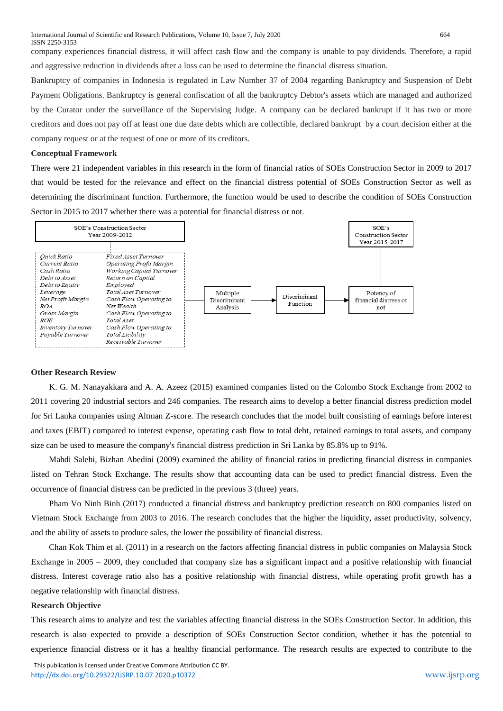International Journal of Scientific and Research Publications, Volume 10, Issue 7, July 2020 664 ISSN 2250-3153

company experiences financial distress, it will affect cash flow and the company is unable to pay dividends. Therefore, a rapid and aggressive reduction in dividends after a loss can be used to determine the financial distress situation.

Bankruptcy of companies in Indonesia is regulated in Law Number 37 of 2004 regarding Bankruptcy and Suspension of Debt Payment Obligations. Bankruptcy is general confiscation of all the bankruptcy Debtor's assets which are managed and authorized by the Curator under the surveillance of the Supervising Judge. A company can be declared bankrupt if it has two or more creditors and does not pay off at least one due date debts which are collectible, declared bankrupt by a court decision either at the company request or at the request of one or more of its creditors.

#### **Conceptual Framework**

There were 21 independent variables in this research in the form of financial ratios of SOEs Construction Sector in 2009 to 2017 that would be tested for the relevance and effect on the financial distress potential of SOEs Construction Sector as well as determining the discriminant function. Furthermore, the function would be used to describe the condition of SOEs Construction Sector in 2015 to 2017 whether there was a potential for financial distress or not.



#### **Other Research Review**

K. G. M. Nanayakkara and A. A. Azeez (2015) examined companies listed on the Colombo Stock Exchange from 2002 to 2011 covering 20 industrial sectors and 246 companies. The research aims to develop a better financial distress prediction model for Sri Lanka companies using Altman Z-score. The research concludes that the model built consisting of earnings before interest and taxes (EBIT) compared to interest expense, operating cash flow to total debt, retained earnings to total assets, and company size can be used to measure the company's financial distress prediction in Sri Lanka by 85.8% up to 91%.

Mahdi Salehi, Bizhan Abedini (2009) examined the ability of financial ratios in predicting financial distress in companies listed on Tehran Stock Exchange. The results show that accounting data can be used to predict financial distress. Even the occurrence of financial distress can be predicted in the previous 3 (three) years.

Pham Vo Ninh Binh (2017) conducted a financial distress and bankruptcy prediction research on 800 companies listed on Vietnam Stock Exchange from 2003 to 2016. The research concludes that the higher the liquidity, asset productivity, solvency, and the ability of assets to produce sales, the lower the possibility of financial distress.

Chan Kok Thim et al. (2011) in a research on the factors affecting financial distress in public companies on Malaysia Stock Exchange in 2005 – 2009, they concluded that company size has a significant impact and a positive relationship with financial distress. Interest coverage ratio also has a positive relationship with financial distress, while operating profit growth has a negative relationship with financial distress.

#### **Research Objective**

This research aims to analyze and test the variables affecting financial distress in the SOEs Construction Sector. In addition, this research is also expected to provide a description of SOEs Construction Sector condition, whether it has the potential to experience financial distress or it has a healthy financial performance. The research results are expected to contribute to the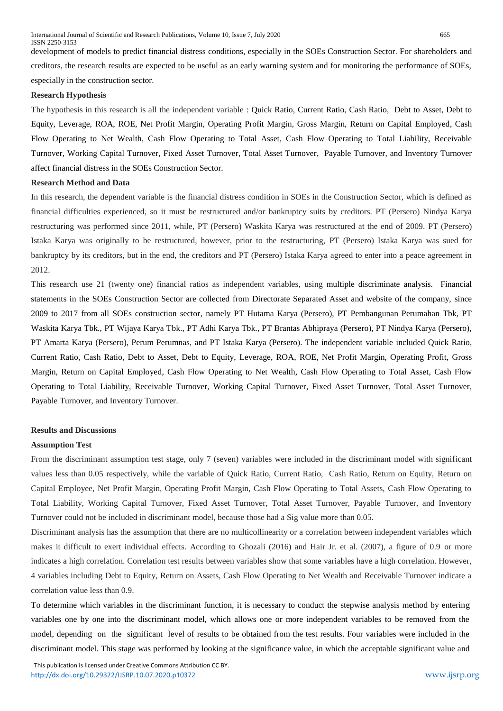development of models to predict financial distress conditions, especially in the SOEs Construction Sector. For shareholders and creditors, the research results are expected to be useful as an early warning system and for monitoring the performance of SOEs, especially in the construction sector.

#### **Research Hypothesis**

The hypothesis in this research is all the independent variable : Quick Ratio, Current Ratio, Cash Ratio, Debt to Asset, Debt to Equity, Leverage, ROA, ROE, Net Profit Margin, Operating Profit Margin, Gross Margin, Return on Capital Employed, Cash Flow Operating to Net Wealth, Cash Flow Operating to Total Asset, Cash Flow Operating to Total Liability, Receivable Turnover, Working Capital Turnover, Fixed Asset Turnover, Total Asset Turnover, Payable Turnover, and Inventory Turnover affect financial distress in the SOEs Construction Sector.

#### **Research Method and Data**

In this research, the dependent variable is the financial distress condition in SOEs in the Construction Sector, which is defined as financial difficulties experienced, so it must be restructured and/or bankruptcy suits by creditors. PT (Persero) Nindya Karya restructuring was performed since 2011, while, PT (Persero) Waskita Karya was restructured at the end of 2009. PT (Persero) Istaka Karya was originally to be restructured, however, prior to the restructuring, PT (Persero) Istaka Karya was sued for bankruptcy by its creditors, but in the end, the creditors and PT (Persero) Istaka Karya agreed to enter into a peace agreement in 2012.

This research use 21 (twenty one) financial ratios as independent variables, using multiple discriminate analysis*.* Financial statements in the SOEs Construction Sector are collected from Directorate Separated Asset and website of the company, since 2009 to 2017 from all SOEs construction sector, namely PT Hutama Karya (Persero), PT Pembangunan Perumahan Tbk, PT Waskita Karya Tbk., PT Wijaya Karya Tbk., PT Adhi Karya Tbk., PT Brantas Abhipraya (Persero), PT Nindya Karya (Persero), PT Amarta Karya (Persero), Perum Perumnas, and PT Istaka Karya (Persero). The independent variable included Quick Ratio, Current Ratio, Cash Ratio, Debt to Asset, Debt to Equity, Leverage, ROA, ROE, Net Profit Margin, Operating Profit, Gross Margin, Return on Capital Employed, Cash Flow Operating to Net Wealth, Cash Flow Operating to Total Asset, Cash Flow Operating to Total Liability, Receivable Turnover, Working Capital Turnover, Fixed Asset Turnover, Total Asset Turnover, Payable Turnover, and Inventory Turnover.

#### **Results and Discussions**

#### **Assumption Test**

From the discriminant assumption test stage, only 7 (seven) variables were included in the discriminant model with significant values less than 0.05 respectively, while the variable of Quick Ratio, Current Ratio, Cash Ratio, Return on Equity, Return on Capital Employee, Net Profit Margin, Operating Profit Margin, Cash Flow Operating to Total Assets, Cash Flow Operating to Total Liability, Working Capital Turnover, Fixed Asset Turnover, Total Asset Turnover, Payable Turnover, and Inventory Turnover could not be included in discriminant model, because those had a Sig value more than 0.05.

Discriminant analysis has the assumption that there are no multicollinearity or a correlation between independent variables which makes it difficult to exert individual effects. According to Ghozali (2016) and Hair Jr. et al. (2007), a figure of 0.9 or more indicates a high correlation. Correlation test results between variables show that some variables have a high correlation. However, 4 variables including Debt to Equity, Return on Assets, Cash Flow Operating to Net Wealth and Receivable Turnover indicate a correlation value less than 0.9.

To determine which variables in the discriminant function, it is necessary to conduct the stepwise analysis method by entering variables one by one into the discriminant model, which allows one or more independent variables to be removed from the model, depending on the significant level of results to be obtained from the test results. Four variables were included in the discriminant model. This stage was performed by looking at the significance value, in which the acceptable significant value and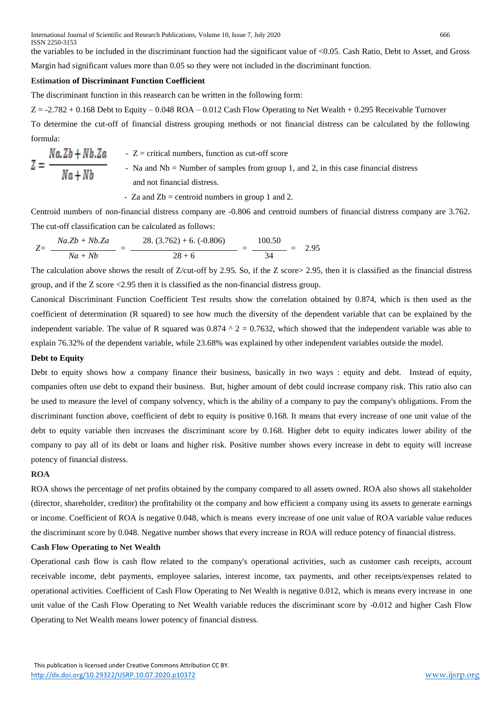the variables to be included in the discriminant function had the significant value of <0.05. Cash Ratio, Debt to Asset, and Gross Margin had significant values more than 0.05 so they were not included in the discriminant function.

# **Estimation of Discriminant Function Coefficient**

The discriminant function in this reasearch can be written in the following form:

 $Z = -2.782 + 0.168$  Debt to Equity – 0.048 ROA – 0.012 Cash Flow Operating to Net Wealth + 0.295 Receivable Turnover

To determine the cut-off of financial distress grouping methods or not financial distress can be calculated by the following formula:

$$
Z = \frac{Na.Zb + Nb.Za}{Na + Nb}
$$
 - Z = critical numbers, function as cut-off score  
- Na and Nb = Number of samples from group 1, and 2, in this case financial distress and not financial distress.

- Za and  $Zb =$  centroid numbers in group 1 and 2.

Centroid numbers of non-financial distress company are -0.806 and centroid numbers of financial distress company are 3.762. The cut-off classification can be calculated as follows:

$$
Z = \frac{Na.Zb + Nb.Za}{Na + Nb} = \frac{28. (3.762) + 6. (-0.806)}{28 + 6} = \frac{100.50}{34} = 2.95
$$

The calculation above shows the result of Z/cut-off by 2.95. So, if the Z score > 2.95, then it is classified as the financial distress group, and if the Z score <2.95 then it is classified as the non-financial distress group.

Canonical Discriminant Function Coefficient Test results show the correlation obtained by 0.874, which is then used as the coefficient of determination (R squared) to see how much the diversity of the dependent variable that can be explained by the independent variable. The value of R squared was  $0.874 \text{ }^{\circ}$  2 = 0.7632, which showed that the independent variable was able to explain 76.32% of the dependent variable, while 23.68% was explained by other independent variables outside the model.

## **Debt to Equity**

Debt to equity shows how a company finance their business, basically in two ways : equity and debt. Instead of equity, companies often use debt to expand their business. But, higher amount of debt could increase company risk. This ratio also can be used to measure the level of company solvency, which is the ability of a company to pay the company's obligations. From the discriminant function above, coefficient of debt to equity is positive 0.168. It means that every increase of one unit value of the debt to equity variable then increases the discriminant score by 0.168. Higher debt to equity indicates lower ability of the company to pay all of its debt or loans and higher risk. Positive number shows every increase in debt to equity will increase potency of financial distress.

# **ROA**

ROA shows the percentage of net profits obtained by the company compared to all assets owned. ROA also shows all stakeholder (director, shareholder, creditor) the profitability ot the company and how efficient a company using its assets to generate earnings or income. Coefficient of ROA is negative 0.048, which is means every increase of one unit value of ROA variable value reduces the discriminant score by 0.048. Negative number shows that every increase in ROA will reduce potency of financial distress.

## **Cash Flow Operating to Net Wealth**

Operational cash flow is cash flow related to the company's operational activities, such as customer cash receipts, account receivable income, debt payments, employee salaries, interest income, tax payments, and other receipts/expenses related to operational activities. Coefficient of Cash Flow Operating to Net Wealth is negative 0.012, which is means every increase in one unit value of the Cash Flow Operating to Net Wealth variable reduces the discriminant score by -0.012 and higher Cash Flow Operating to Net Wealth means lower potency of financial distress.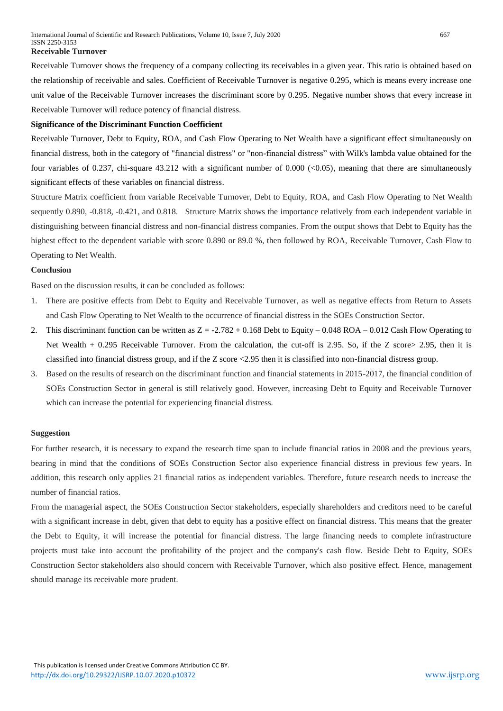Receivable Turnover shows the frequency of a company collecting its receivables in a given year. This ratio is obtained based on the relationship of receivable and sales. Coefficient of Receivable Turnover is negative 0.295, which is means every increase one unit value of the Receivable Turnover increases the discriminant score by 0.295. Negative number shows that every increase in Receivable Turnover will reduce potency of financial distress.

#### **Significance of the Discriminant Function Coefficient**

Receivable Turnover, Debt to Equity, ROA, and Cash Flow Operating to Net Wealth have a significant effect simultaneously on financial distress, both in the category of "financial distress" or "non-financial distress" with Wilk's lambda value obtained for the four variables of 0.237, chi-square 43.212 with a significant number of 0.000 ( $\langle 0.05$ ), meaning that there are simultaneously significant effects of these variables on financial distress.

Structure Matrix coefficient from variable Receivable Turnover, Debt to Equity, ROA, and Cash Flow Operating to Net Wealth sequently 0.890, -0.818, -0.421, and 0.818. Structure Matrix shows the importance relatively from each independent variable in distinguishing between financial distress and non-financial distress companies. From the output shows that Debt to Equity has the highest effect to the dependent variable with score 0.890 or 89.0 %, then followed by ROA, Receivable Turnover, Cash Flow to Operating to Net Wealth.

#### **Conclusion**

Based on the discussion results, it can be concluded as follows:

- 1. There are positive effects from Debt to Equity and Receivable Turnover, as well as negative effects from Return to Assets and Cash Flow Operating to Net Wealth to the occurrence of financial distress in the SOEs Construction Sector.
- 2. This discriminant function can be written as  $Z = -2.782 + 0.168$  Debt to Equity 0.048 ROA 0.012 Cash Flow Operating to Net Wealth + 0.295 Receivable Turnover. From the calculation, the cut-off is 2.95. So, if the Z score> 2.95, then it is classified into financial distress group, and if the Z score <2.95 then it is classified into non-financial distress group.
- 3. Based on the results of research on the discriminant function and financial statements in 2015-2017, the financial condition of SOEs Construction Sector in general is still relatively good. However, increasing Debt to Equity and Receivable Turnover which can increase the potential for experiencing financial distress.

#### **Suggestion**

For further research, it is necessary to expand the research time span to include financial ratios in 2008 and the previous years, bearing in mind that the conditions of SOEs Construction Sector also experience financial distress in previous few years. In addition, this research only applies 21 financial ratios as independent variables. Therefore, future research needs to increase the number of financial ratios.

From the managerial aspect, the SOEs Construction Sector stakeholders, especially shareholders and creditors need to be careful with a significant increase in debt, given that debt to equity has a positive effect on financial distress. This means that the greater the Debt to Equity, it will increase the potential for financial distress. The large financing needs to complete infrastructure projects must take into account the profitability of the project and the company's cash flow. Beside Debt to Equity, SOEs Construction Sector stakeholders also should concern with Receivable Turnover, which also positive effect. Hence, management should manage its receivable more prudent.